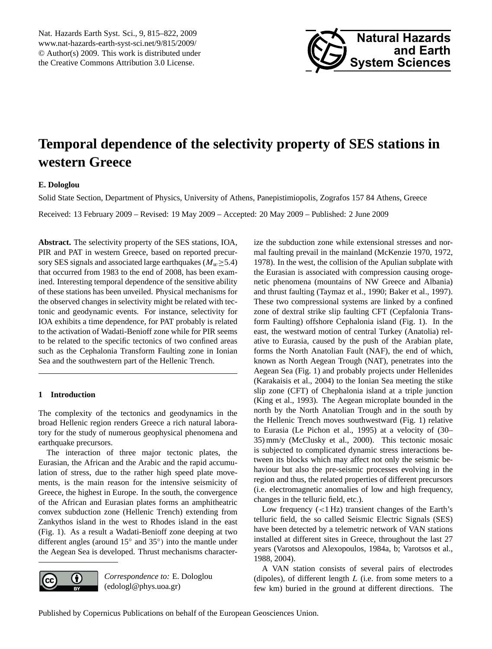<span id="page-0-0"></span>Nat. Hazards Earth Syst. Sci., 9, 815–822, 2009 www.nat-hazards-earth-syst-sci.net/9/815/2009/ © Author(s) 2009. This work is distributed under the Creative Commons Attribution 3.0 License.



# **Temporal dependence of the selectivity property of SES stations in western Greece**

## **E. Dologlou**

Solid State Section, Department of Physics, University of Athens, Panepistimiopolis, Zografos 157 84 Athens, Greece

Received: 13 February 2009 – Revised: 19 May 2009 – Accepted: 20 May 2009 – Published: 2 June 2009

**Abstract.** The selectivity property of the SES stations, IOA, PIR and PAT in western Greece, based on reported precursory SES signals and associated large earthquakes ( $M_w \geq 5.4$ ) that occurred from 1983 to the end of 2008, has been examined. Interesting temporal dependence of the sensitive ability of these stations has been unveiled. Physical mechanisms for the observed changes in selectivity might be related with tectonic and geodynamic events. For instance, selectivity for IOA exhibits a time dependence, for PAT probably is related to the activation of Wadati-Benioff zone while for PIR seems to be related to the specific tectonics of two confined areas such as the Cephalonia Transform Faulting zone in Ionian Sea and the southwestern part of the Hellenic Trench.

### **1 Introduction**

The complexity of the tectonics and geodynamics in the broad Hellenic region renders Greece a rich natural laboratory for the study of numerous geophysical phenomena and earthquake precursors.

The interaction of three major tectonic plates, the Eurasian, the African and the Arabic and the rapid accumulation of stress, due to the rather high speed plate movements, is the main reason for the intensive seismicity of Greece, the highest in Europe. In the south, the convergence of the African and Eurasian plates forms an amphitheatric convex subduction zone (Hellenic Trench) extending from Zankythos island in the west to Rhodes island in the east (Fig. 1). As a result a Wadati-Benioff zone deeping at two different angles (around 15° and 35°) into the mantle under the Aegean Sea is developed. Thrust mechanisms character-



*Correspondence to:* E. Dologlou (edologl@phys.uoa.gr)

ize the subduction zone while extensional stresses and normal faulting prevail in the mainland (McKenzie 1970, 1972, 1978). In the west, the collision of the Apulian subplate with the Eurasian is associated with compression causing orogenetic phenomena (mountains of NW Greece and Albania) and thrust faulting (Taymaz et al., 1990; Baker et al., 1997). These two compressional systems are linked by a confined zone of dextral strike slip faulting CFT (Cepfalonia Transform Faulting) offshore Cephalonia island (Fig. 1). In the east, the westward motion of central Turkey (Anatolia) relative to Eurasia, caused by the push of the Arabian plate, forms the North Anatolian Fault (NAF), the end of which, known as North Aegean Trough (NAT), penetrates into the Aegean Sea (Fig. 1) and probably projects under Hellenides (Karakaisis et al., 2004) to the Ionian Sea meeting the stike slip zone (CFT) of Chephalonia island at a triple junction (King et al., 1993). The Aegean microplate bounded in the north by the North Anatolian Trough and in the south by the Hellenic Trench moves southwestward (Fig. 1) relative to Eurasia (Le Pichon et al., 1995) at a velocity of (30– 35) mm/y (McClusky et al., 2000). This tectonic mosaic is subjected to complicated dynamic stress interactions between its blocks which may affect not only the seismic behaviour but also the pre-seismic processes evolving in the region and thus, the related properties of different precursors (i.e. electromagnetic anomalies of low and high frequency, changes in the telluric field, etc.).

Low frequency  $(<1 Hz)$  transient changes of the Earth's telluric field, the so called Seismic Electric Signals (SES) have been detected by a telemetric network of VAN stations installed at different sites in Greece, throughout the last 27 years (Varotsos and Alexopoulos, 1984a, b; Varotsos et al., 1988, 2004).

A VAN station consists of several pairs of electrodes (dipoles), of different length  $L$  (i.e. from some meters to a few km) buried in the ground at different directions. The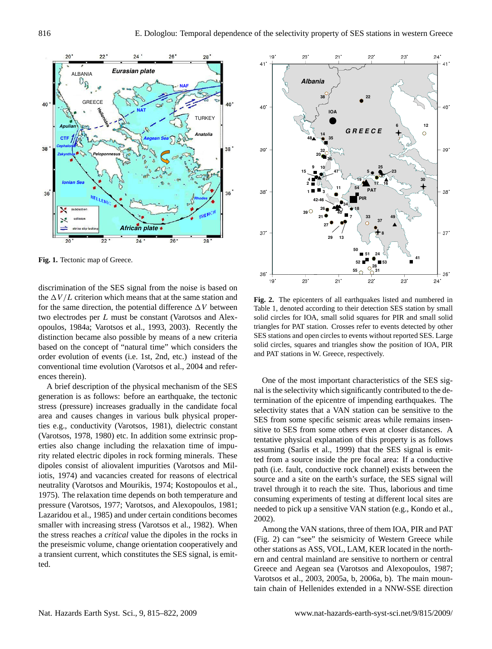

Fig. 1. Tectonic map of Greece.

26 order evolution of events (i.e. 1st, 2nd, etc.) instead of the the  $\Delta V/L$  criterion which means that at the same station and discrimination of the SES signal from the noise is based on for the same direction, the potential difference  $\Delta V$  between two electrodes per L must be constant (Varotsos and Alexopoulos, 1984a; Varotsos et al., 1993, 2003). Recently the distinction became also possible by means of a new criteria based on the concept of "natural time" which considers the conventional time evolution (Varotsos et al., 2004 and references therein).

A brief description of the physical mechanism of the SES generation is as follows: before an earthquake, the tectonic stress (pressure) increases gradually in the candidate focal area and causes changes in various bulk physical properties e.g., conductivity (Varotsos, 1981), dielectric constant (Varotsos, 1978, 1980) etc. In addition some extrinsic properties also change including the relaxation time of impurity related electric dipoles in rock forming minerals. These dipoles consist of aliovalent impurities (Varotsos and Miliotis, 1974) and vacancies created for reasons of electrical neutrality (Varotsos and Mourikis, 1974; Kostopoulos et al., 1975). The relaxation time depends on both temperature and pressure (Varotsos, 1977; Varotsos, and Alexopoulos, 1981; Lazaridou et al., 1985) and under certain conditions becomes smaller with increasing stress (Varotsos et al., 1982). When the stress reaches a *critical* value the dipoles in the rocks in the preseismic volume, change orientation cooperatively and a transient current, which constitutes the SES signal, is emitted.



**Fig. 2.** The epicenters of all earthquakes listed and numbered in Table 1, denoted according to their detection SES station by small solid circles for IOA, small solid squares for PIR and small solid triangles for PAT station. Crosses refer to events detected by other SES stations and open circles to events without reported SES. Large solid circles, squares and triangles show the position of IOA, PIR and PAT stations in W. Greece, respectively.

One of the most important characteristics of the SES signal is the selectivity which significantly contributed to the determination of the epicentre of impending earthquakes. The selectivity states that a VAN station can be sensitive to the SES from some specific seismic areas while remains insensitive to SES from some others even at closer distances. A tentative physical explanation of this property is as follows assuming (Sarlis et al., 1999) that the SES signal is emitted from a source inside the pre focal area: If a conductive path (i.e. fault, conductive rock channel) exists between the source and a site on the earth's surface, the SES signal will travel through it to reach the site. Thus, laborious and time consuming experiments of testing at different local sites are needed to pick up a sensitive VAN station (e.g., Kondo et al., 2002).

Among the VAN stations, three of them IOA, PIR and PAT (Fig. 2) can "see" the seismicity of Western Greece while other stations as ASS, VOL, LAM, KER located in the northern and central mainland are sensitive to northern or central Greece and Aegean sea (Varotsos and Alexopoulos, 1987; Varotsos et al., 2003, 2005a, b, 2006a, b). The main mountain chain of Hellenides extended in a NNW-SSE direction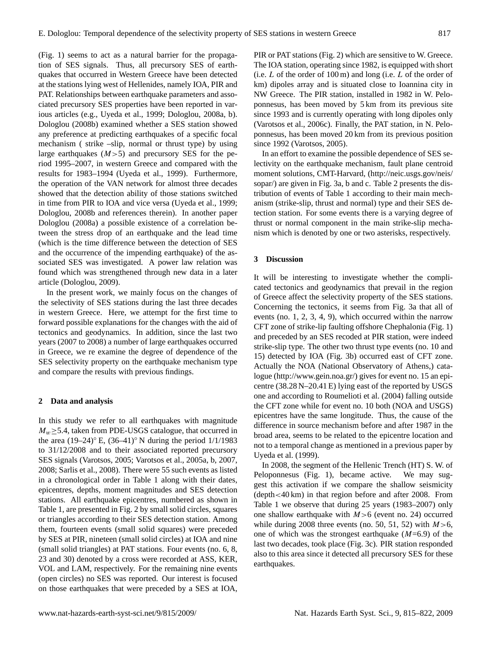(Fig. 1) seems to act as a natural barrier for the propagation of SES signals. Thus, all precursory SES of earthquakes that occurred in Western Greece have been detected at the stations lying west of Hellenides, namely IOA, PIR and PAT. Relationships between earthquake parameters and associated precursory SES properties have been reported in various articles (e.g., Uyeda et al., 1999; Dologlou, 2008a, b). Dologlou (2008b) examined whether a SES station showed any preference at predicting earthquakes of a specific focal mechanism ( strike –slip, normal or thrust type) by using large earthquakes  $(M>5)$  and precursory SES for the period 1995–2007, in western Greece and compared with the results for 1983–1994 (Uyeda et al., 1999). Furthermore, the operation of the VAN network for almost three decades showed that the detection ability of those stations switched in time from PIR to IOA and vice versa (Uyeda et al., 1999; Dologlou, 2008b and references therein). In another paper Dologlou (2008a) a possible existence of a correlation between the stress drop of an earthquake and the lead time (which is the time difference between the detection of SES and the occurrence of the impending earthquake) of the associated SES was investigated. A power law relation was found which was strengthened through new data in a later article (Dologlou, 2009).

In the present work, we mainly focus on the changes of the selectivity of SES stations during the last three decades in western Greece. Here, we attempt for the first time to forward possible explanations for the changes with the aid of tectonics and geodynamics. In addition, since the last two years (2007 to 2008) a number of large earthquakes occurred in Greece, we re examine the degree of dependence of the SES selectivity property on the earthquake mechanism type and compare the results with previous findings.

#### **2 Data and analysis**

In this study we refer to all earthquakes with magnitude  $M_w \geq 5.4$ , taken from PDE-USGS catalogue, that occurred in the area  $(19–24)°$  E,  $(36–41)°$  N during the period  $1/1/1983$ to 31/12/2008 and to their associated reported precursory SES signals (Varotsos, 2005; Varotsos et al., 2005a, b, 2007, 2008; Sarlis et al., 2008). There were 55 such events as listed in a chronological order in Table 1 along with their dates, epicentres, depths, moment magnitudes and SES detection stations. All earthquake epicentres, numbered as shown in Table 1, are presented in Fig. 2 by small solid circles, squares or triangles according to their SES detection station. Among them, fourteen events (small solid squares) were preceded by SES at PIR, nineteen (small solid circles) at IOA and nine (small solid triangles) at PAT stations. Four events (no. 6, 8, 23 and 30) denoted by a cross were recorded at ASS, KER, VOL and LAM, respectively. For the remaining nine events (open circles) no SES was reported. Our interest is focused on those earthquakes that were preceded by a SES at IOA, PIR or PAT stations (Fig. 2) which are sensitive to W. Greece. The IOA station, operating since 1982, is equipped with short (i.e. L of the order of 100 m) and long (i.e. L of the order of km) dipoles array and is situated close to Ioannina city in NW Greece. The PIR station, installed in 1982 in W. Peloponnesus, has been moved by 5 km from its previous site since 1993 and is currently operating with long dipoles only (Varotsos et al., 2006c). Finally, the PAT station, in N. Peloponnesus, has been moved 20 km from its previous position since 1992 (Varotsos, 2005).

In an effort to examine the possible dependence of SES selectivity on the earthquake mechanism, fault plane centroid moment solutions, CMT-Harvard, [\(http://neic.usgs.gov/neis/](http://neic.usgs.gov/neis/sopar/) [sopar/\)](http://neic.usgs.gov/neis/sopar/) are given in Fig. 3a, b and c. Table 2 presents the distribution of events of Table 1 according to their main mechanism (strike-slip, thrust and normal) type and their SES detection station. For some events there is a varying degree of thrust or normal component in the main strike-slip mechanism which is denoted by one or two asterisks, respectively.

#### **3 Discussion**

It will be interesting to investigate whether the complicated tectonics and geodynamics that prevail in the region of Greece affect the selectivity property of the SES stations. Concerning the tectonics, it seems from Fig. 3a that all of events (no. 1, 2, 3, 4, 9), which occurred within the narrow CFT zone of strike-lip faulting offshore Chephalonia (Fig. 1) and preceded by an SES recoded at PIR station, were indeed strike-slip type. The other two thrust type events (no. 10 and 15) detected by IOA (Fig. 3b) occurred east of CFT zone. Actually the NOA (National Observatory of Athens,) catalogue [\(http://www.gein.noa.gr/\)](http://www.gein.noa.gr/) gives for event no. 15 an epicentre (38.28 N–20.41 E) lying east of the reported by USGS one and according to Roumelioti et al. (2004) falling outside the CFT zone while for event no. 10 both (NOA and USGS) epicentres have the same longitude. Thus, the cause of the difference in source mechanism before and after 1987 in the broad area, seems to be related to the epicentre location and not to a temporal change as mentioned in a previous paper by Uyeda et al. (1999).

In 2008, the segment of the Hellenic Trench (HT) S. W. of Peloponnesus (Fig. 1), became active. We may suggest this activation if we compare the shallow seismicity (depth<40 km) in that region before and after 2008. From Table 1 we observe that during 25 years (1983–2007) only one shallow earthquake with  $M>6$  (event no. 24) occurred while during 2008 three events (no. 50, 51, 52) with  $M>6$ , one of which was the strongest earthquake  $(M=6.9)$  of the last two decades, took place (Fig. 3c). PIR station responded also to this area since it detected all precursory SES for these earthquakes.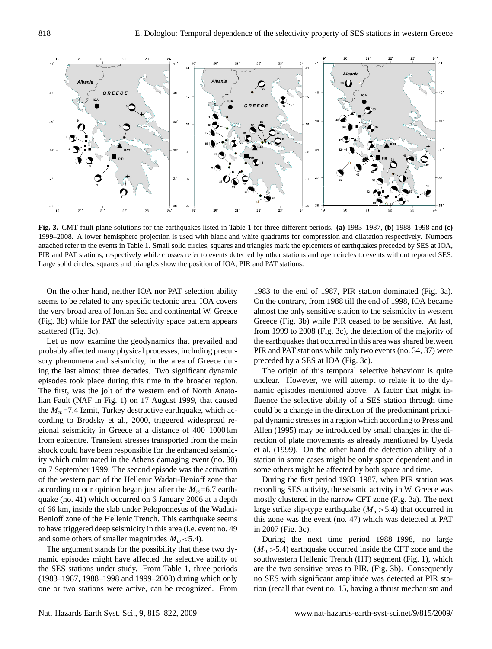

Fig.3c **Fig. 3.** CMT fault plane solutions for the earthquakes listed in Table 1 for three different periods. **(a)** 1983–1987, **(b)** 1988–1998 and **(c)** 1999–2008. A lower hemisphere projection is used with black and white quadrants for compression and dilatation respectively. Numbers attached refer to the events in Table 1. Small solid circles, squares and triangles mark the epicenters of earthquakes preceded by SES at IOA, PIR and PAT stations, respectively while crosses refer to events detected by other stations and open circles to events without reported SES. Large solid circles, squares and triangles show the position of IOA, PIR and PAT stations.

On the other hand, neither IOA nor PAT selection ability seems to be related to any specific tectonic area. IOA covers the very broad area of Ionian Sea and continental W. Greece (Fig. 3b) while for PAT the selectivity space pattern appears scattered (Fig. 3c).

Let us now examine the geodynamics that prevailed and probably affected many physical processes, including precursory phenomena and seismicity, in the area of Greece during the last almost three decades. Two significant dynamic episodes took place during this time in the broader region. The first, was the jolt of the western end of North Anatolian Fault (NAF in Fig. 1) on 17 August 1999, that caused the  $M_w$ =7.4 Izmit, Turkey destructive earthquake, which according to Brodsky et al., 2000, triggered widespread regional seismicity in Greece at a distance of 400–1000 km from epicentre. Transient stresses transported from the main shock could have been responsible for the enhanced seismicity which culminated in the Athens damaging event (no. 30) on 7 September 1999. The second episode was the activation of the western part of the Hellenic Wadati-Benioff zone that according to our opinion began just after the  $M_w=6.7$  earthquake (no. 41) which occurred on 6 January 2006 at a depth of 66 km, inside the slab under Peloponnesus of the Wadati-Benioff zone of the Hellenic Trench. This earthquake seems to have triggered deep seismicity in this area (i.e. event no. 49 and some others of smaller magnitudes  $M_w < 5.4$ ).

The argument stands for the possibility that these two dynamic episodes might have affected the selective ability of the SES stations under study. From Table 1, three periods (1983–1987, 1988–1998 and 1999–2008) during which only one or two stations were active, can be recognized. From

1983 to the end of 1987, PIR station dominated (Fig. 3a). On the contrary, from 1988 till the end of 1998, IOA became almost the only sensitive station to the seismicity in western Greece (Fig. 3b) while PIR ceased to be sensitive. At last, from 1999 to 2008 (Fig. 3c), the detection of the majority of the earthquakes that occurred in this area was shared between PIR and PAT stations while only two events (no. 34, 37) were preceded by a SES at IOA (Fig. 3c).

The origin of this temporal selective behaviour is quite unclear. However, we will attempt to relate it to the dynamic episodes mentioned above. A factor that might influence the selective ability of a SES station through time could be a change in the direction of the predominant principal dynamic stresses in a region which according to Press and Allen (1995) may be introduced by small changes in the direction of plate movements as already mentioned by Uyeda et al. (1999). On the other hand the detection ability of a station in some cases might be only space dependent and in some others might be affected by both space and time.

During the first period 1983–1987, when PIR station was recording SES activity, the seismic activity in W. Greece was mostly clustered in the narrow CFT zone (Fig. 3a). The next large strike slip-type earthquake  $(M_w>5.4)$  that occurred in this zone was the event (no. 47) which was detected at PAT in 2007 (Fig. 3c).

During the next time period 1988–1998, no large  $(M_w>5.4)$  earthquake occurred inside the CFT zone and the southwestern Hellenic Trench (HT) segment (Fig. 1), which are the two sensitive areas to PIR, (Fig. 3b). Consequently no SES with significant amplitude was detected at PIR station (recall that event no. 15, having a thrust mechanism and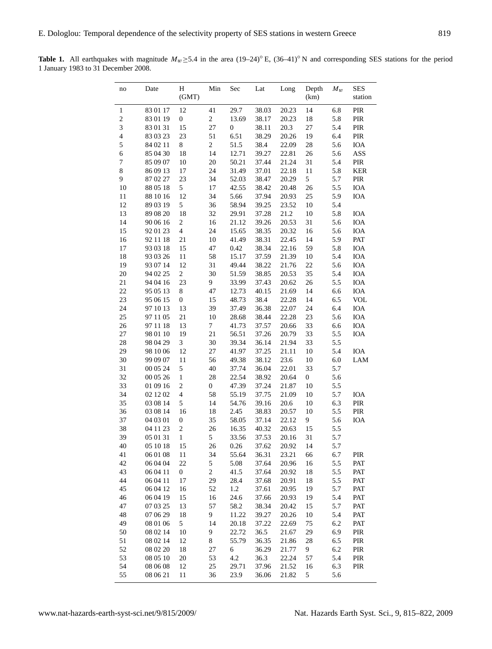| no                      | Date     | H<br>(GMT)              | Min              | Sec              | Lat   | Long  | Depth<br>(km)    | $M_w$ | <b>SES</b><br>station |
|-------------------------|----------|-------------------------|------------------|------------------|-------|-------|------------------|-------|-----------------------|
| $\,1\,$                 | 83 01 17 | 12                      | 41               | 29.7             | 38.03 | 20.23 | 14               | 6.8   | PIR                   |
| $\boldsymbol{2}$        | 83 01 19 | $\boldsymbol{0}$        | $\boldsymbol{2}$ | 13.69            | 38.17 | 20.23 | 18               | 5.8   | PIR                   |
| 3                       | 83 01 31 | 15                      | 27               | $\boldsymbol{0}$ | 38.11 | 20.3  | 27               | 5.4   | PIR                   |
| $\overline{\mathbf{4}}$ | 83 03 23 | 23                      | 51               | 6.51             | 38.29 | 20.26 | 19               | 6.4   | PIR                   |
| 5                       | 84 02 11 | 8                       | $\sqrt{2}$       | 51.5             | 38.4  | 22.09 | 28               | 5.6   | IOA                   |
| $\epsilon$              | 85 04 30 | 18                      | 14               | 12.71            | 39.27 | 22.81 | 26               | 5.6   | ASS                   |
| $\boldsymbol{7}$        | 85 09 07 | 10                      | 20               | 50.21            | 37.44 | 21.24 | 31               | 5.4   | PIR                   |
| $\,8\,$                 | 86 09 13 | 17                      | 24               | 31.49            | 37.01 | 22.18 | 11               | 5.8   | <b>KER</b>            |
| 9                       | 87 02 27 | 23                      | 34               | 52.03            | 38.47 | 20.29 | 5                | 5.7   | PIR                   |
| 10                      | 88 05 18 | 5                       | 17               | 42.55            | 38.42 | 20.48 | 26               | 5.5   | IOA                   |
| 11                      | 88 10 16 | 12                      | 34               | 5.66             | 37.94 | 20.93 | 25               | 5.9   | IOA                   |
| 12                      | 89 03 19 | 5                       | 36               | 58.94            | 39.25 | 23.52 | 10               | 5.4   |                       |
| 13                      | 89 08 20 | 18                      | 32               | 29.91            | 37.28 | 21.2  | 10               | 5.8   | <b>IOA</b>            |
| 14                      | 90 06 16 | $\boldsymbol{2}$        | 16               | 21.12            | 39.26 | 20.53 | 31               | 5.6   | IOA                   |
| 15                      | 92 01 23 | $\overline{\mathbf{4}}$ | 24               | 15.65            | 38.35 | 20.32 | 16               | 5.6   | IOA                   |
| 16                      | 92 11 18 | 21                      | 10               | 41.49            | 38.31 | 22.45 | 14               | 5.9   | PAT                   |
| 17                      | 93 03 18 | 15                      | 47               | 0.42             | 38.34 | 22.16 | 59               | 5.8   | IOA                   |
| 18                      | 93 03 26 | 11                      | 58               | 15.17            | 37.59 | 21.39 | 10               | 5.4   | IOA                   |
| 19                      | 93 07 14 | 12                      | 31               | 49.44            | 38.22 | 21.76 | $22\,$           | 5.6   | IOA                   |
| $20\,$                  | 94 02 25 | $\boldsymbol{2}$        | 30               | 51.59            | 38.85 | 20.53 | 35               | 5.4   | IOA                   |
| 21                      | 94 04 16 | 23                      | 9                | 33.99            | 37.43 | 20.62 | 26               | 5.5   | IOA                   |
| 22                      | 95 05 13 | 8                       | 47               | 12.73            | 40.15 | 21.69 | 14               | 6.6   | IOA                   |
| 23                      | 95 06 15 | $\boldsymbol{0}$        | 15               | 48.73            | 38.4  | 22.28 | 14               | 6.5   | <b>VOL</b>            |
| 24                      | 97 10 13 | 13                      | 39               | 37.49            | 36.38 | 22.07 | 24               | 6.4   | IOA                   |
| 25                      | 97 11 05 | 21                      | 10               | 28.68            | 38.44 | 22.28 | 23               | 5.6   | IOA                   |
| 26                      | 97 11 18 | 13                      | $\tau$           | 41.73            | 37.57 | 20.66 | 33               | 6.6   | IOA                   |
| 27                      | 98 01 10 | 19                      | 21               | 56.51            | 37.26 | 20.79 | 33               | 5.5   | IOA                   |
| 28                      | 98 04 29 | 3                       | 30               | 39.34            | 36.14 | 21.94 | 33               | 5.5   |                       |
| 29                      | 98 10 06 | 12                      | 27               | 41.97            | 37.25 | 21.11 | 10               | 5.4   | IOA                   |
| 30                      | 99 09 07 | 11                      | 56               | 49.38            | 38.12 | 23.6  | 10               | 6.0   | LAM                   |
| 31                      | 00 05 24 | 5                       | 40               | 37.74            | 36.04 | 22.01 | 33               | 5.7   |                       |
| 32                      | 00 05 26 | $\mathbf{1}$            | 28               | 22.54            | 38.92 | 20.64 | $\boldsymbol{0}$ | 5.6   |                       |
| 33                      | 01 09 16 | $\overline{c}$          | $\boldsymbol{0}$ | 47.39            | 37.24 | 21.87 | 10               | 5.5   |                       |
| 34                      | 02 12 02 | $\overline{4}$          | 58               | 55.19            | 37.75 | 21.09 | 10               | 5.7   | IOA                   |
| 35                      | 03 08 14 | $\sqrt{5}$              | 14               | 54.76            | 39.16 | 20.6  | 10               | 6.3   | PIR                   |
| 36                      | 03 08 14 | 16                      | 18               | 2.45             | 38.83 | 20.57 | 10               | 5.5   | PIR                   |
| 37                      | 04 03 01 | $\boldsymbol{0}$        | 35               | 58.05            | 37.14 | 22.12 | 9                | 5.6   | IOA                   |
| 38                      | 04 11 23 | $\sqrt{2}$              | 26               | 16.35            | 40.32 | 20.63 | 15               | 5.5   |                       |
| 39                      | 05 01 31 | $\mathbf{1}$            | 5                | 33.56            | 37.53 | 20.16 | 31               | 5.7   |                       |
| 40                      | 05 10 18 | 15                      | 26               | 0.26             | 37.62 | 20.92 | 14               | 5.7   |                       |
| 41                      | 06 01 08 | 11                      | 34               | 55.64            | 36.31 | 23.21 | 66               | 6.7   | PIR                   |
| 42                      | 06 04 04 | 22                      | 5                | 5.08             | 37.64 | 20.96 | 16               | 5.5   | PAT                   |
| 43                      | 06 04 11 | $\boldsymbol{0}$        | 2                | 41.5             | 37.64 | 20.92 | 18               | 5.5   | PAT                   |
| 44                      | 06 04 11 | 17                      | 29               | 28.4             | 37.68 | 20.91 | 18               | 5.5   | PAT                   |
| 45                      | 06 04 12 | 16                      | 52               | $1.2\,$          | 37.61 | 20.95 | 19               | 5.7   | PAT                   |
| 46                      | 06 04 19 | 15                      | 16               | 24.6             | 37.66 | 20.93 | 19               | 5.4   | PAT                   |
| 47                      | 07 03 25 | 13                      | 57               | 58.2             | 38.34 | 20.42 | 15               | 5.7   | PAT                   |
| 48                      | 07 06 29 | 18                      | 9                | 11.22            | 39.27 | 20.26 | 10               | 5.4   | PAT                   |
| 49                      | 08 01 06 | 5                       | 14               | 20.18            | 37.22 | 22.69 | 75               | 6.2   | PAT                   |
| 50                      | 08 02 14 | 10                      | 9                | 22.72            | 36.5  | 21.67 | 29               | 6.9   | PIR                   |
| 51                      | 08 02 14 | 12                      | 8                | 55.79            | 36.35 | 21.86 | 28               | 6.5   | PIR                   |
| 52                      | 08 02 20 | 18                      | 27               | 6                | 36.29 | 21.77 | 9                | 6.2   | PIR                   |
| 53                      | 08 05 10 | 20                      | 53               | 4.2              | 36.3  | 22.24 | 57               | 5.4   | PIR                   |
| 54                      | 08 06 08 | 12                      | 25               | 29.71            | 37.96 | 21.52 | 16               | 6.3   | PIR                   |
| 55                      | 08 06 21 | 11                      | 36               | 23.9             | 36.06 | 21.82 | 5                | 5.6   |                       |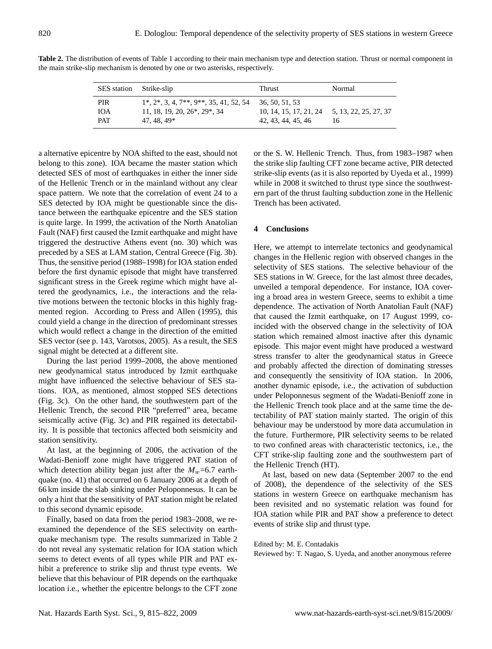| SES station Strike-slip |                                                        | <b>Thrust</b>                                | Normal |
|-------------------------|--------------------------------------------------------|----------------------------------------------|--------|
| PIR.                    | $1^*, 2^*, 3, 4, 7^{**}, 9^{**}, 35, 41, 52, 54$       | 36, 50, 51, 53                               | 16     |
| <b>TOA</b>              | 11, 18, 19, 20, 26 <sup>*</sup> , 29 <sup>*</sup> , 34 | 10, 14, 15, 17, 21, 24 5, 13, 22, 25, 27, 37 |        |
| <b>PAT</b>              | 47.48.49*                                              | 42, 43, 44, 45, 46                           |        |

**Table 2.** The distribution of events of Table 1 according to their main mechanism type and detection station. Thrust or normal component in the main strike-slip mechanism is denoted by one or two asterisks, respectively.

a alternative epicentre by NOA shifted to the east, should not belong to this zone). IOA became the master station which detected SES of most of earthquakes in either the inner side of the Hellenic Trench or in the mainland without any clear space pattern. We note that the correlation of event 24 to a SES detected by IOA might be questionable since the distance between the earthquake epicentre and the SES station is quite large. In 1999, the activation of the North Anatolian Fault (NAF) first caused the Izmit earthquake and might have triggered the destructive Athens event (no. 30) which was preceded by a SES at LAM station, Central Greece (Fig. 3b). Thus, the sensitive period (1988–1998) for IOA station ended before the first dynamic episode that might have transferred significant stress in the Greek regime which might have altered the geodynamics, i.e., the interactions and the relative motions between the tectonic blocks in this highly fragmented region. According to Press and Allen (1995), this could yield a change in the direction of predominant stresses which would reflect a change in the direction of the emitted SES vector (see p. 143, Varotsos, 2005). As a result, the SES signal might be detected at a different site.

During the last period 1999–2008, the above mentioned new geodynamical status introduced by Izmit earthquake might have influenced the selective behaviour of SES stations. IOA, as mentioned, almost stopped SES detections (Fig. 3c). On the other hand, the southwestern part of the Hellenic Trench, the second PIR "preferred" area, became seismically active (Fig. 3c) and PIR regained its detectability. It is possible that tectonics affected both seismicity and station sensitivity.

At last, at the beginning of 2006, the activation of the Wadati-Benioff zone might have triggered PAT station of which detection ability began just after the  $M_w$ =6.7 earthquake (no. 41) that occurred on 6 January 2006 at a depth of 66 km inside the slab sinking under Peloponnesus. It can be only a hint that the sensitivity of PAT station might be related to this second dynamic episode.

Finally, based on data from the period 1983–2008, we reexamined the dependence of the SES selectivity on earthquake mechanism type. The results summarized in Table 2 do not reveal any systematic relation for IOA station which seems to detect events of all types while PIR and PAT exhibit a preference to strike slip and thrust type events. We believe that this behaviour of PIR depends on the earthquake location i.e., whether the epicentre belongs to the CFT zone or the S. W. Hellenic Trench. Thus, from 1983–1987 when the strike slip faulting CFT zone became active, PIR detected strike-slip events (as it is also reported by Uyeda et al., 1999) while in 2008 it switched to thrust type since the southwestern part of the thrust faulting subduction zone in the Hellenic Trench has been activated.

#### **4 Conclusions**

Here, we attempt to interrelate tectonics and geodynamical changes in the Hellenic region with observed changes in the selectivity of SES stations. The selective behaviour of the SES stations in W. Greece, for the last almost three decades, unveiled a temporal dependence. For instance, IOA covering a broad area in western Greece, seems to exhibit a time dependence. The activation of North Anatolian Fault (NAF) that caused the Izmit earthquake, on 17 August 1999, coincided with the observed change in the selectivity of IOA station which remained almost inactive after this dynamic episode. This major event might have produced a westward stress transfer to alter the geodynamical status in Greece and probably affected the direction of dominating stresses and consequently the sensitivity of IOA station. In 2006, another dynamic episode, i.e., the activation of subduction under Peloponnesus segment of the Wadati-Benioff zone in the Hellenic Trench took place and at the same time the detectability of PAT station mainly started. The origin of this behaviour may be understood by more data accumulation in the future. Furthermore, PIR selectivity seems to be related to two confined areas with characteristic tectonics, i.e., the CFT strike-slip faulting zone and the southwestern part of the Hellenic Trench (HT).

At last, based on new data (September 2007 to the end of 2008), the dependence of the selectivity of the SES stations in western Greece on earthquake mechanism has been revisited and no systematic relation was found for IOA station while PIR and PAT show a preference to detect events of strike slip and thrust type.

#### Edited by: M. E. Contadakis

Reviewed by: T. Nagao, S. Uyeda, and another anonymous referee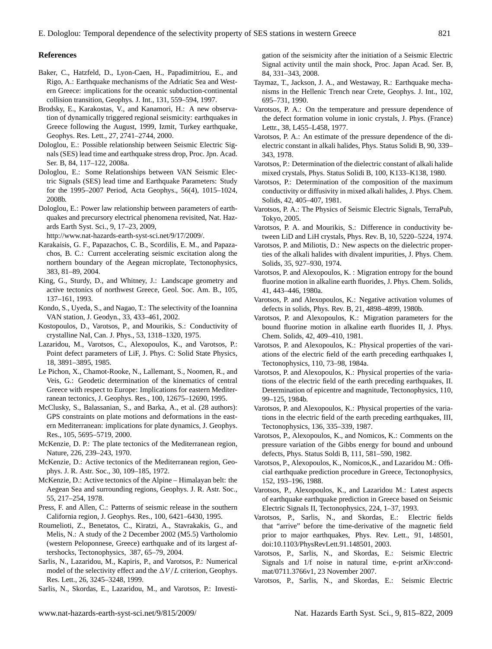### **References**

- Baker, C., Hatzfeld, D., Lyon-Caen, H., Papadimitriou, E., and Rigo, A.: Earthquake mechanisms of the Adriatic Sea and Western Greece: implications for the oceanic subduction-continental collision transition, Geophys. J. Int., 131, 559–594, 1997.
- Brodsky, E., Karakostas, V., and Kanamori, H.: A new observation of dynamically triggered regional seismicity: earthquakes in Greece following the August, 1999, Izmit, Turkey earthquake, Geophys. Res. Lett., 27, 2741–2744, 2000.
- Dologlou, E.: Possible relationship between Seismic Electric Signals (SES) lead time and earthquake stress drop, Proc. Jpn. Acad. Ser. B, 84, 117–122, 2008a.
- Dologlou, E.: Some Relationships between VAN Seismic Electric Signals (SES) lead time and Earthquake Parameters: Study for the 1995–2007 Period, Acta Geophys., 56(4), 1015–1024, 2008b.
- Dologlou, E.: Power law relationship between parameters of earthquakes and precursory electrical phenomena revisited, Nat. Hazards Earth Syst. Sci., 9, 17–23, 2009,

[http://www.nat-hazards-earth-syst-sci.net/9/17/2009/.](http://www.nat-hazards-earth-syst-sci.net/9/17/2009/)

- Karakaisis, G. F., Papazachos, C. B., Scordilis, E. M., and Papazachos, B. C.: Current accelerating seismic excitation along the northern boundary of the Aegean microplate, Tectonophysics, 383, 81–89, 2004.
- King, G., Sturdy, D., and Whitney, J.: Landscape geometry and active tectonics of northwest Greece, Geol. Soc. Am. B., 105, 137–161, 1993.
- Kondo, S., Uyeda, S., and Nagao, T.: The selectivity of the Ioannina VAN station, J. Geodyn., 33, 433–461, 2002.
- Kostopoulos, D., Varotsos, P., and Mourikis, S.: Conductivity of crystalline NaI, Can. J. Phys., 53, 1318–1320, 1975.
- Lazaridou, M., Varotsos, C., Alexopoulos, K., and Varotsos, P.: Point defect parameters of LiF, J. Phys. C: Solid State Physics, 18, 3891–3895, 1985.
- Le Pichon, X., Chamot-Rooke, N., Lallemant, S., Noomen, R., and Veis, G.: Geodetic determination of the kinematics of central Greece with respect to Europe: Implications for eastern Mediterranean tectonics, J. Geophys. Res., 100, 12675–12690, 1995.
- McClusky, S., Balassanian, S., and Barka, A., et al. (28 authors): GPS constraints on plate motions and deformations in the eastern Mediterranean: implications for plate dynamics, J. Geophys. Res., 105, 5695–5719, 2000.
- McKenzie, D. P.: The plate tectonics of the Mediterranean region, Nature, 226, 239–243, 1970.
- McKenzie, D.: Active tectonics of the Mediterranean region, Geophys. J. R. Astr. Soc., 30, 109–185, 1972.
- McKenzie, D.: Active tectonics of the Alpine Himalayan belt: the Aegean Sea and surrounding regions, Geophys. J. R. Astr. Soc., 55, 217–254, 1978.
- Press, F. and Allen, C.: Patterns of seismic release in the southern California region, J. Geophys. Res., 100, 6421–6430, 1995.
- Roumelioti, Z., Benetatos, C., Kiratzi, A., Stavrakakis, G., and Melis, N.: A study of the 2 December 2002 (M5.5) Vartholomio (western Peloponnese, Greece) earthquake and of its largest aftershocks, Tectonophysics, 387, 65–79, 2004.
- Sarlis, N., Lazaridou, M., Kapiris, P., and Varotsos, P.: Numerical model of the selectivity effect and the  $\Delta V / L$  criterion, Geophys. Res. Lett., 26, 3245–3248, 1999.

Sarlis, N., Skordas, E., Lazaridou, M., and Varotsos, P.: Investi-

gation of the seismicity after the initiation of a Seismic Electric Signal activity until the main shock, Proc. Japan Acad. Ser. B, 84, 331–343, 2008.

- Taymaz, T., Jackson, J. A., and Westaway, R.: Earthquake mechanisms in the Hellenic Trench near Crete, Geophys. J. Int., 102, 695–731, 1990.
- Varotsos, P. A.: On the temperature and pressure dependence of the defect formation volume in ionic crystals, J. Phys. (France) Lettr., 38, L455–L458, 1977.
- Varotsos, P. A.: An estimate of the pressure dependence of the dielectric constant in alkali halides, Phys. Status Solidi B, 90, 339– 343, 1978.
- Varotsos, P.: Determination of the dielectric constant of alkali halide mixed crystals, Phys. Status Solidi B, 100, K133–K138, 1980.
- Varotsos, P.: Determination of the composition of the maximum conductivity or diffusivity in mixed alkali halides, J. Phys. Chem. Solids, 42, 405–407, 1981.
- Varotsos, P. A.: The Physics of Seismic Electric Signals, TerraPub, Tokyo, 2005.
- Varotsos, P. A. and Mourikis, S.: Difference in conductivity between LiD and LiH crystals, Phys. Rev. B, 10, 5220–5224, 1974.
- Varotsos, P. and Miliotis, D.: New aspects on the dielectric properties of the alkali halides with divalent impurities, J. Phys. Chem. Solids, 35, 927–930, 1974.
- Varotsos, P. and Alexopoulos, K. : Migration entropy for the bound fluorine motion in alkaline earth fluorides, J. Phys. Chem. Solids, 41, 443–446, 1980a.
- Varotsos, P. and Alexopoulos, K.: Negative activation volumes of defects in solids, Phys. Rev. B, 21, 4898–4899, 1980b.
- Varotsos, P. and Alexopoulos, K.: Migration parameters for the bound fluorine motion in alkaline earth fluorides II, J. Phys. Chem. Solids, 42, 409–410, 1981.
- Varotsos, P. and Alexopoulos, K.: Physical properties of the variations of the electric field of the earth preceding earthquakes I, Tectonophysics, 110, 73–98, 1984a.
- Varotsos, P. and Alexopoulos, K.: Physical properties of the variations of the electric field of the earth preceding earthquakes, II. Determination of epicentre and magnitude, Tectonophysics, 110, 99–125, 1984b.
- Varotsos, P. and Alexopoulos, K.: Physical properties of the variations in the electric field of the earth preceding earthquakes, III, Tectonophysics, 136, 335–339, 1987.
- Varotsos, P., Alexopoulos, K., and Nomicos, K.: Comments on the pressure variation of the Gibbs energy for bound and unbound defects, Phys. Status Soldi B, 111, 581–590, 1982.
- Varotsos, P., Alexopoulos, K., Nomicos,K., and Lazaridou M.: Official earthquake prediction procedure in Greece, Tectonophysics, 152, 193–196, 1988.
- Varotsos, P., Alexopoulos, K., and Lazaridou M.: Latest aspects of earthquake earthquake prediction in Greece based on Seismic Electric Signals II, Tectonophysics, 224, 1–37, 1993.
- Varotsos, P., Sarlis, N., and Skordas, E.: Electric fields that "arrive" before the time-derivative of the magnetic field prior to major earthquakes, Phys. Rev. Lett., 91, 148501, doi:10.1103/PhysRevLett.91.148501, 2003.
- Varotsos, P., Sarlis, N., and Skordas, E.: Seismic Electric Signals and 1/f noise in natural time, e-print arXiv:condmat/0711.3766v1, 23 November 2007.
- Varotsos, P., Sarlis, N., and Skordas, E.: Seismic Electric